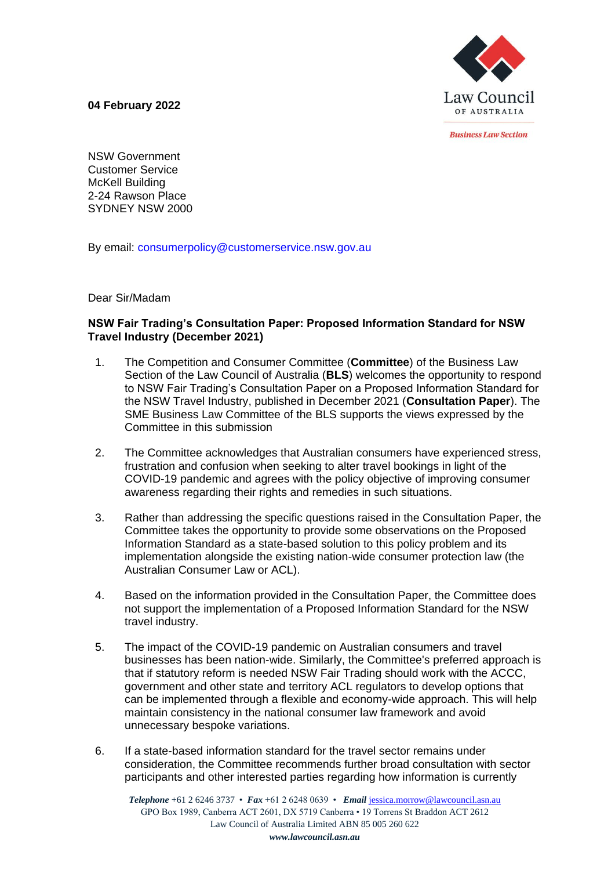**04 February 2022**



*<u>Rusiness Law Section</u>* 

NSW Government Customer Service McKell Building 2-24 Rawson Place SYDNEY NSW 2000

By email: consumerpolicy@customerservice.nsw.gov.au

Dear Sir/Madam

## **NSW Fair Trading's Consultation Paper: Proposed Information Standard for NSW Travel Industry (December 2021)**

- 1. The Competition and Consumer Committee (**Committee**) of the Business Law Section of the Law Council of Australia (**BLS**) welcomes the opportunity to respond to NSW Fair Trading's Consultation Paper on a Proposed Information Standard for the NSW Travel Industry, published in December 2021 (**Consultation Paper**). The SME Business Law Committee of the BLS supports the views expressed by the Committee in this submission
- 2. The Committee acknowledges that Australian consumers have experienced stress, frustration and confusion when seeking to alter travel bookings in light of the COVID-19 pandemic and agrees with the policy objective of improving consumer awareness regarding their rights and remedies in such situations.
- 3. Rather than addressing the specific questions raised in the Consultation Paper, the Committee takes the opportunity to provide some observations on the Proposed Information Standard as a state-based solution to this policy problem and its implementation alongside the existing nation-wide consumer protection law (the Australian Consumer Law or ACL).
- 4. Based on the information provided in the Consultation Paper, the Committee does not support the implementation of a Proposed Information Standard for the NSW travel industry.
- 5. The impact of the COVID-19 pandemic on Australian consumers and travel businesses has been nation-wide. Similarly, the Committee's preferred approach is that if statutory reform is needed NSW Fair Trading should work with the ACCC, government and other state and territory ACL regulators to develop options that can be implemented through a flexible and economy-wide approach. This will help maintain consistency in the national consumer law framework and avoid unnecessary bespoke variations.
- 6. If a state-based information standard for the travel sector remains under consideration, the Committee recommends further broad consultation with sector participants and other interested parties regarding how information is currently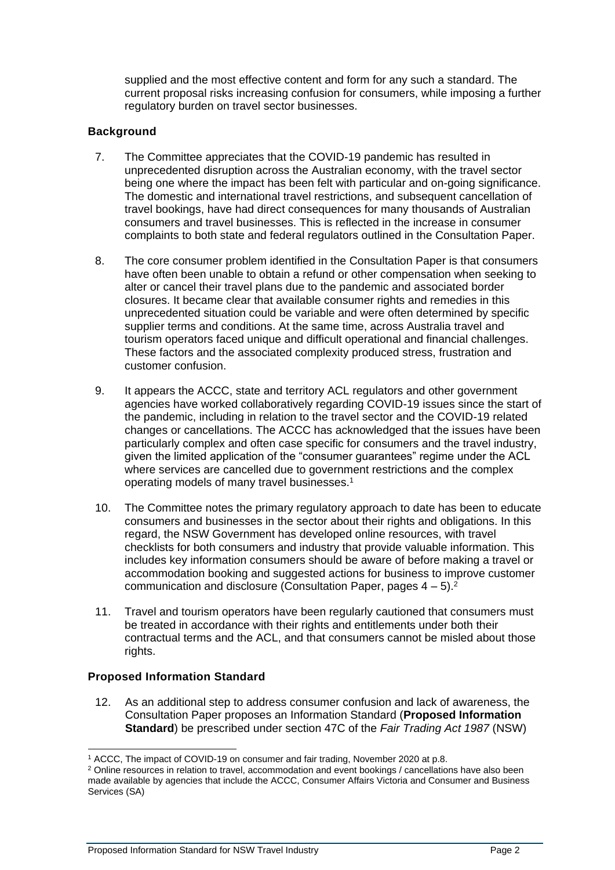supplied and the most effective content and form for any such a standard. The current proposal risks increasing confusion for consumers, while imposing a further regulatory burden on travel sector businesses.

# **Background**

- 7. The Committee appreciates that the COVID-19 pandemic has resulted in unprecedented disruption across the Australian economy, with the travel sector being one where the impact has been felt with particular and on-going significance. The domestic and international travel restrictions, and subsequent cancellation of travel bookings, have had direct consequences for many thousands of Australian consumers and travel businesses. This is reflected in the increase in consumer complaints to both state and federal regulators outlined in the Consultation Paper.
- 8. The core consumer problem identified in the Consultation Paper is that consumers have often been unable to obtain a refund or other compensation when seeking to alter or cancel their travel plans due to the pandemic and associated border closures. It became clear that available consumer rights and remedies in this unprecedented situation could be variable and were often determined by specific supplier terms and conditions. At the same time, across Australia travel and tourism operators faced unique and difficult operational and financial challenges. These factors and the associated complexity produced stress, frustration and customer confusion.
- 9. It appears the ACCC, state and territory ACL regulators and other government agencies have worked collaboratively regarding COVID-19 issues since the start of the pandemic, including in relation to the travel sector and the COVID-19 related changes or cancellations. The ACCC has acknowledged that the issues have been particularly complex and often case specific for consumers and the travel industry, given the limited application of the "consumer guarantees" regime under the ACL where services are cancelled due to government restrictions and the complex operating models of many travel businesses.<sup>1</sup>
- 10. The Committee notes the primary regulatory approach to date has been to educate consumers and businesses in the sector about their rights and obligations. In this regard, the NSW Government has developed online resources, with travel checklists for both consumers and industry that provide valuable information. This includes key information consumers should be aware of before making a travel or accommodation booking and suggested actions for business to improve customer communication and disclosure (Consultation Paper, pages  $4 - 5$ ).<sup>2</sup>
- 11. Travel and tourism operators have been regularly cautioned that consumers must be treated in accordance with their rights and entitlements under both their contractual terms and the ACL, and that consumers cannot be misled about those rights.

### **Proposed Information Standard**

12. As an additional step to address consumer confusion and lack of awareness, the Consultation Paper proposes an Information Standard (**Proposed Information Standard**) be prescribed under section 47C of the *Fair Trading Act 1987* (NSW)

<sup>&</sup>lt;sup>1</sup> ACCC, The impact of COVID-19 on consumer and fair trading, November 2020 at p.8.

<sup>&</sup>lt;sup>2</sup> Online resources in relation to travel, accommodation and event bookings / cancellations have also been made available by agencies that include the ACCC, Consumer Affairs Victoria and Consumer and Business Services (SA)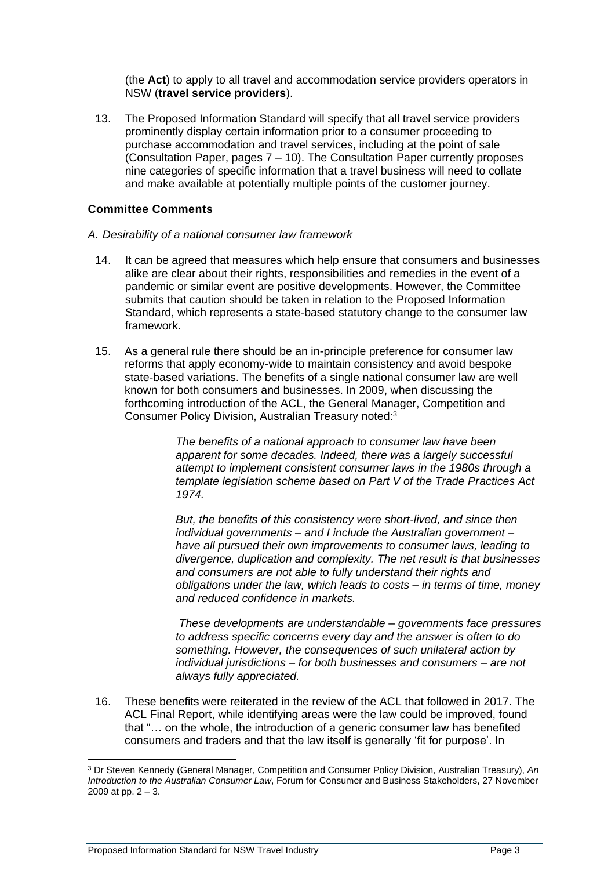(the **Act**) to apply to all travel and accommodation service providers operators in NSW (**travel service providers**).

13. The Proposed Information Standard will specify that all travel service providers prominently display certain information prior to a consumer proceeding to purchase accommodation and travel services, including at the point of sale (Consultation Paper, pages 7 – 10). The Consultation Paper currently proposes nine categories of specific information that a travel business will need to collate and make available at potentially multiple points of the customer journey.

# **Committee Comments**

- *A. Desirability of a national consumer law framework*
	- 14. It can be agreed that measures which help ensure that consumers and businesses alike are clear about their rights, responsibilities and remedies in the event of a pandemic or similar event are positive developments. However, the Committee submits that caution should be taken in relation to the Proposed Information Standard, which represents a state-based statutory change to the consumer law framework.
	- 15. As a general rule there should be an in-principle preference for consumer law reforms that apply economy-wide to maintain consistency and avoid bespoke state-based variations. The benefits of a single national consumer law are well known for both consumers and businesses. In 2009, when discussing the forthcoming introduction of the ACL, the General Manager, Competition and Consumer Policy Division, Australian Treasury noted:<sup>3</sup>

*The benefits of a national approach to consumer law have been apparent for some decades. Indeed, there was a largely successful attempt to implement consistent consumer laws in the 1980s through a template legislation scheme based on Part V of the Trade Practices Act 1974.* 

*But, the benefits of this consistency were short-lived, and since then individual governments – and I include the Australian government – have all pursued their own improvements to consumer laws, leading to divergence, duplication and complexity. The net result is that businesses and consumers are not able to fully understand their rights and obligations under the law, which leads to costs – in terms of time, money and reduced confidence in markets.*

*These developments are understandable – governments face pressures to address specific concerns every day and the answer is often to do something. However, the consequences of such unilateral action by individual jurisdictions – for both businesses and consumers – are not always fully appreciated.*

16. These benefits were reiterated in the review of the ACL that followed in 2017. The ACL Final Report, while identifying areas were the law could be improved, found that "… on the whole, the introduction of a generic consumer law has benefited consumers and traders and that the law itself is generally 'fit for purpose'. In

<sup>3</sup> Dr Steven Kennedy (General Manager, Competition and Consumer Policy Division, Australian Treasury), *An Introduction to the Australian Consumer Law*, Forum for Consumer and Business Stakeholders, 27 November 2009 at pp.  $2 - 3$ .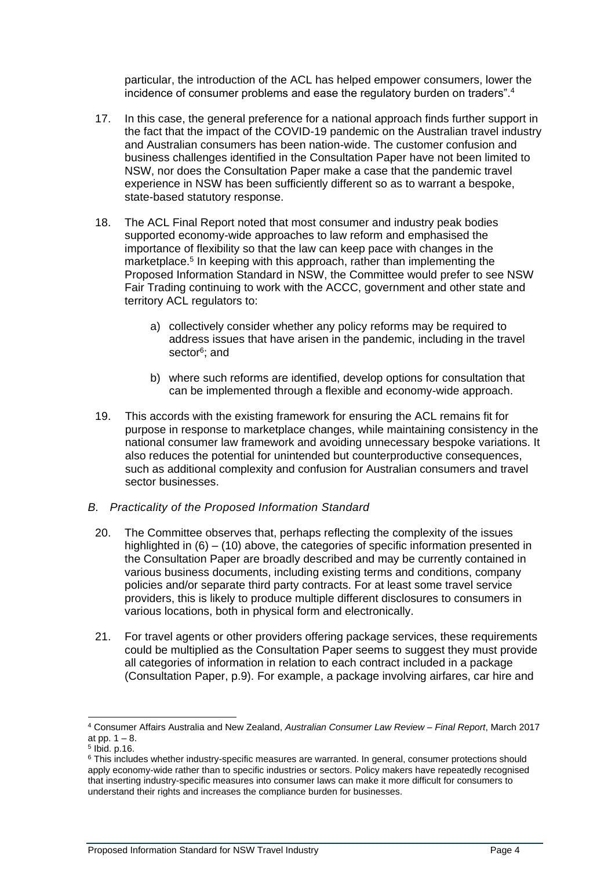particular, the introduction of the ACL has helped empower consumers, lower the incidence of consumer problems and ease the regulatory burden on traders".<sup>4</sup>

- 17. In this case, the general preference for a national approach finds further support in the fact that the impact of the COVID-19 pandemic on the Australian travel industry and Australian consumers has been nation-wide. The customer confusion and business challenges identified in the Consultation Paper have not been limited to NSW, nor does the Consultation Paper make a case that the pandemic travel experience in NSW has been sufficiently different so as to warrant a bespoke, state-based statutory response.
- 18. The ACL Final Report noted that most consumer and industry peak bodies supported economy-wide approaches to law reform and emphasised the importance of flexibility so that the law can keep pace with changes in the marketplace.<sup>5</sup> In keeping with this approach, rather than implementing the Proposed Information Standard in NSW, the Committee would prefer to see NSW Fair Trading continuing to work with the ACCC, government and other state and territory ACL regulators to:
	- a) collectively consider whether any policy reforms may be required to address issues that have arisen in the pandemic, including in the travel sector<sup>6</sup>; and
	- b) where such reforms are identified, develop options for consultation that can be implemented through a flexible and economy-wide approach.
- 19. This accords with the existing framework for ensuring the ACL remains fit for purpose in response to marketplace changes, while maintaining consistency in the national consumer law framework and avoiding unnecessary bespoke variations. It also reduces the potential for unintended but counterproductive consequences, such as additional complexity and confusion for Australian consumers and travel sector businesses.
- *B. Practicality of the Proposed Information Standard*
- 20. The Committee observes that, perhaps reflecting the complexity of the issues highlighted in (6) – (10) above, the categories of specific information presented in the Consultation Paper are broadly described and may be currently contained in various business documents, including existing terms and conditions, company policies and/or separate third party contracts. For at least some travel service providers, this is likely to produce multiple different disclosures to consumers in various locations, both in physical form and electronically.
- 21. For travel agents or other providers offering package services, these requirements could be multiplied as the Consultation Paper seems to suggest they must provide all categories of information in relation to each contract included in a package (Consultation Paper, p.9). For example, a package involving airfares, car hire and

<sup>4</sup> Consumer Affairs Australia and New Zealand, *Australian Consumer Law Review – Final Report*, March 2017 at pp.  $1 - 8$ .

<sup>5</sup> Ibid. p.16.

<sup>&</sup>lt;sup>6</sup> This includes whether industry-specific measures are warranted. In general, consumer protections should apply economy-wide rather than to specific industries or sectors. Policy makers have repeatedly recognised that inserting industry-specific measures into consumer laws can make it more difficult for consumers to understand their rights and increases the compliance burden for businesses.